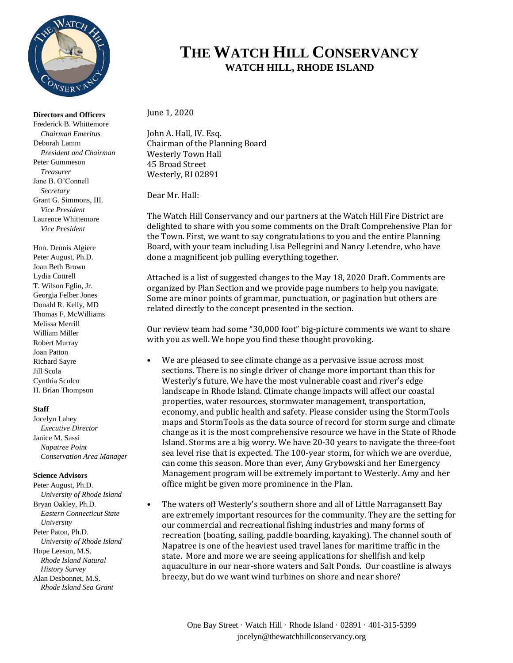

**Directors and Officers** Frederick B. Whittemore *Chairman Emeritus* Deborah Lamm *President and Chairman* Peter Gummeson *Treasurer* Jane B. O'Connell *Secretary* Grant G. Simmons, III. *Vice President* Laurence Whittemore *Vice President*

Hon. Dennis Algiere Peter August, Ph.D. Joan Beth Brown Lydia Cottrell T. Wilson Eglin, Jr. Georgia Felber Jones Donald R. Kelly, MD Thomas F. McWilliams Melissa Merrill William Miller Robert Murray Joan Patton Richard Sayre Jill Scola Cynthia Sculco H. Brian Thompson

#### **Staff**

Jocelyn Lahey *Executive Director* Janice M. Sassi *Napatree Point Conservation Area Manager*

**Science Advisors**

Peter August, Ph.D. *University of Rhode Island* Bryan Oakley, Ph.D. *Eastern Connecticut State University* Peter Paton, Ph.D. *University of Rhode Island* Hope Leeson, M.S. *Rhode Island Natural History Survey* Alan Desbonnet, M.S. *Rhode Island Sea Grant*

# **THE WATCH HILL CONSERVANCY WATCH HILL, RHODE ISLAND**

June 1, 2020

John A. Hall, IV. Esq. Chairman of the Planning Board Westerly Town Hall 45 Broad Street Westerly, RI 02891

Dear Mr. Hall:

The Watch Hill Conservancy and our partners at the Watch Hill Fire District are delighted to share with you some comments on the Draft Comprehensive Plan for the Town. First, we want to say congratulations to you and the entire Planning Board, with your team including Lisa Pellegrini and Nancy Letendre, who have done a magnificent job pulling everything together.

Attached is a list of suggested changes to the May 18, 2020 Draft. Comments are organized by Plan Section and we provide page numbers to help you navigate. Some are minor points of grammar, punctuation, or pagination but others are related directly to the concept presented in the section.

Our review team had some "30,000 foot" big-picture comments we want to share with you as well. We hope you find these thought provoking.

- We are pleased to see climate change as a pervasive issue across most sections. There is no single driver of change more important than this for Westerly's future. We have the most vulnerable coast and river's edge landscape in Rhode Island. Climate change impacts will affect our coastal properties, water resources, stormwater management, transportation, economy, and public health and safety. Please consider using the StormTools maps and StormTools as the data source of record for storm surge and climate change as it is the most comprehensive resource we have in the State of Rhode Island. Storms are a big worry. We have 20-30 years to navigate the three-foot sea level rise that is expected. The 100-year storm, for which we are overdue, can come this season. More than ever, Amy Grybowski and her Emergency Management program will be extremely important to Westerly. Amy and her office might be given more prominence in the Plan.
- The waters off Westerly's southern shore and all of Little Narragansett Bay are extremely important resources for the community. They are the setting for our commercial and recreational fishing industries and many forms of recreation (boating, sailing, paddle boarding, kayaking). The channel south of Napatree is one of the heaviest used travel lanes for maritime traffic in the state. More and more we are seeing applications for shellfish and kelp aquaculture in our near-shore waters and Salt Ponds. Our coastline is always breezy, but do we want wind turbines on shore and near shore?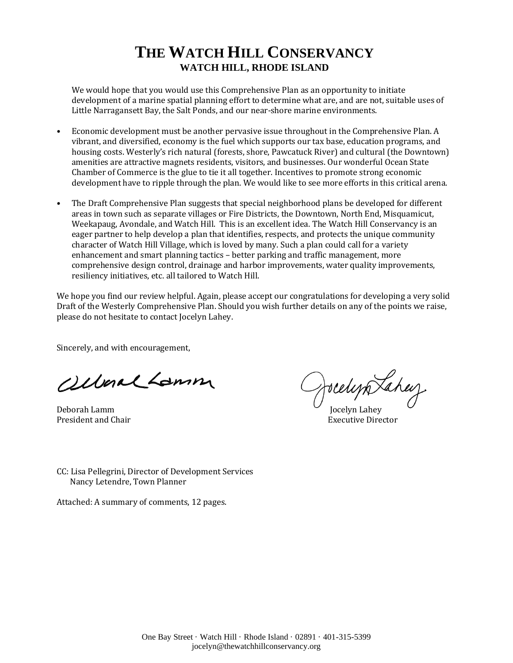We would hope that you would use this Comprehensive Plan as an opportunity to initiate development of a marine spatial planning effort to determine what are, and are not, suitable uses of Little Narragansett Bay, the Salt Ponds, and our near-shore marine environments.

- Economic development must be another pervasive issue throughout in the Comprehensive Plan. A vibrant, and diversified, economy is the fuel which supports our tax base, education programs, and housing costs. Westerly's rich natural (forests, shore, Pawcatuck River) and cultural (the Downtown) amenities are attractive magnets residents, visitors, and businesses. Our wonderful Ocean State Chamber of Commerce is the glue to tie it all together. Incentives to promote strong economic development have to ripple through the plan. We would like to see more efforts in this critical arena.
- The Draft Comprehensive Plan suggests that special neighborhood plans be developed for different areas in town such as separate villages or Fire Districts, the Downtown, North End, Misquamicut, Weekapaug, Avondale, and Watch Hill. This is an excellent idea. The Watch Hill Conservancy is an eager partner to help develop a plan that identifies, respects, and protects the unique community character of Watch Hill Village, which is loved by many. Such a plan could call for a variety enhancement and smart planning tactics – better parking and traffic management, more comprehensive design control, drainage and harbor improvements, water quality improvements, resiliency initiatives, etc. all tailored to Watch Hill.

We hope you find our review helpful. Again, please accept our congratulations for developing a very solid Draft of the Westerly Comprehensive Plan. Should you wish further details on any of the points we raise, please do not hesitate to contact Jocelyn Lahey.

Sincerely, and with encouragement,

alberal Lamm

Deborah Lamm Jocelyn Lahey Jocelyn Lahey Jocelyn Lahey President and Chair **Executive Director Executive Director** 

Jocelyn Lakey

CC: Lisa Pellegrini, Director of Development Services Nancy Letendre, Town Planner

Attached: A summary of comments, 12 pages.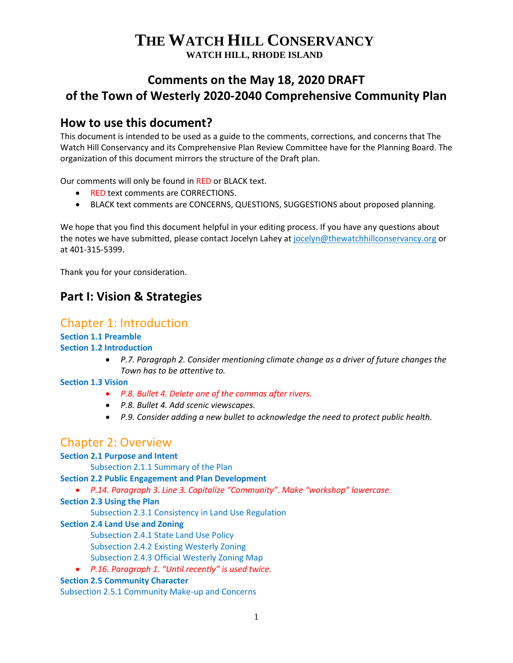# **Comments on the May 18, 2020 DRAFT of the Town of Westerly 2020-2040 Comprehensive Community Plan**

### **How to use this document?**

This document is intended to be used as a guide to the comments, corrections, and concerns that The Watch Hill Conservancy and its Comprehensive Plan Review Committee have for the Planning Board. The organization of this document mirrors the structure of the Draft plan.

Our comments will only be found in RED or BLACK text.

- RED text comments are CORRECTIONS.
- BLACK text comments are CONCERNS, QUESTIONS, SUGGESTIONS about proposed planning.

We hope that you find this document helpful in your editing process. If you have any questions about the notes we have submitted, please contact Jocelyn Lahey a[t jocelyn@thewatchhillconservancy.org](mailto:jocelyn@thewatchhillconservancy.org) or at 401-315-5399.

Thank you for your consideration.

# **Part I: Vision & Strategies**

### Chapter 1: Introduction

# **Section 1.1 Preamble**

#### **Section 1.2 Introduction**

• *P.7. Paragraph 2. Consider mentioning climate change as a driver of future changes the Town has to be attentive to.*

#### **Section 1.3 Vision**

- *P.8. Bullet 4. Delete one of the commas after rivers.*
- *P.8. Bullet 4. Add scenic viewscapes.*
- *P.9. Consider adding a new bullet to acknowledge the need to protect public health.*

### Chapter 2: Overview

#### **Section 2.1 Purpose and Intent**

Subsection 2.1.1 Summary of the Plan

#### **Section 2.2 Public Engagement and Plan Development**

• *P.14. Paragraph 3. Line 3. Capitalize "Community". Make "workshop" lowercase.*

#### **Section 2.3 Using the Plan**

Subsection 2.3.1 Consistency in Land Use Regulation

#### **Section 2.4 Land Use and Zoning**

Subsection 2.4.1 State Land Use Policy Subsection 2.4.2 Existing Westerly Zoning

Subsection 2.4.3 Official Westerly Zoning Map

• *P.16. Paragraph 1. "Until recently" is used twice.*

#### **Section 2.5 Community Character**

Subsection 2.5.1 Community Make-up and Concerns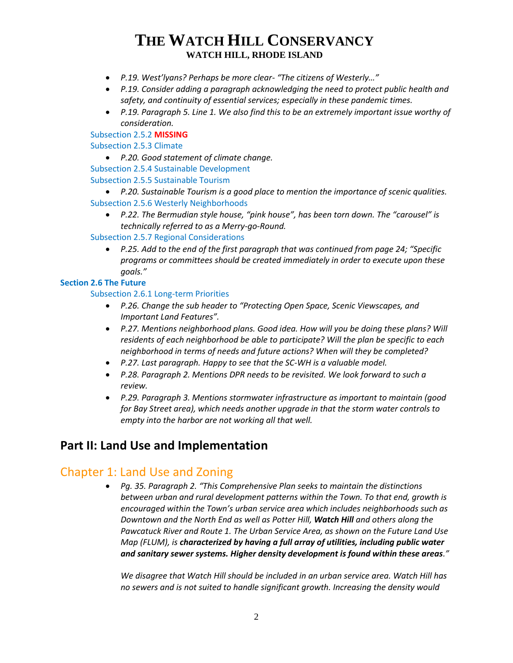- *P.19. West'lyans? Perhaps be more clear- "The citizens of Westerly…"*
- *P.19. Consider adding a paragraph acknowledging the need to protect public health and safety, and continuity of essential services; especially in these pandemic times.*
- *P.19. Paragraph 5. Line 1. We also find this to be an extremely important issue worthy of consideration.*

Subsection 2.5.2 **MISSING**

Subsection 2.5.3 Climate

• *P.20. Good statement of climate change.*

Subsection 2.5.4 Sustainable Development

Subsection 2.5.5 Sustainable Tourism

• *P.20. Sustainable Tourism is a good place to mention the importance of scenic qualities.* Subsection 2.5.6 Westerly Neighborhoods

• *P.22. The Bermudian style house, "pink house", has been torn down. The "carousel" is technically referred to as a Merry-go-Round.*

Subsection 2.5.7 Regional Considerations

• *P.25. Add to the end of the first paragraph that was continued from page 24; "Specific programs or committees should be created immediately in order to execute upon these goals."*

#### **Section 2.6 The Future**

#### Subsection 2.6.1 Long-term Priorities

- *P.26. Change the sub header to "Protecting Open Space, Scenic Viewscapes, and Important Land Features".*
- *P.27. Mentions neighborhood plans. Good idea. How will you be doing these plans? Will residents of each neighborhood be able to participate? Will the plan be specific to each neighborhood in terms of needs and future actions? When will they be completed?*
- *P.27. Last paragraph. Happy to see that the SC-WH is a valuable model.*
- *P.28. Paragraph 2. Mentions DPR needs to be revisited. We look forward to such a review.*
- *P.29. Paragraph 3. Mentions stormwater infrastructure as important to maintain (good for Bay Street area), which needs another upgrade in that the storm water controls to empty into the harbor are not working all that well.*

### **Part II: Land Use and Implementation**

### Chapter 1: Land Use and Zoning

• *Pg. 35. Paragraph 2. "This Comprehensive Plan seeks to maintain the distinctions between urban and rural development patterns within the Town. To that end, growth is encouraged within the Town's urban service area which includes neighborhoods such as Downtown and the North End as well as Potter Hill, Watch Hill and others along the Pawcatuck River and Route 1. The Urban Service Area, as shown on the Future Land Use Map (FLUM), is characterized by having a full array of utilities, including public water and sanitary sewer systems. Higher density development is found within these areas."*

*We disagree that Watch Hill should be included in an urban service area. Watch Hill has no sewers and is not suited to handle significant growth. Increasing the density would*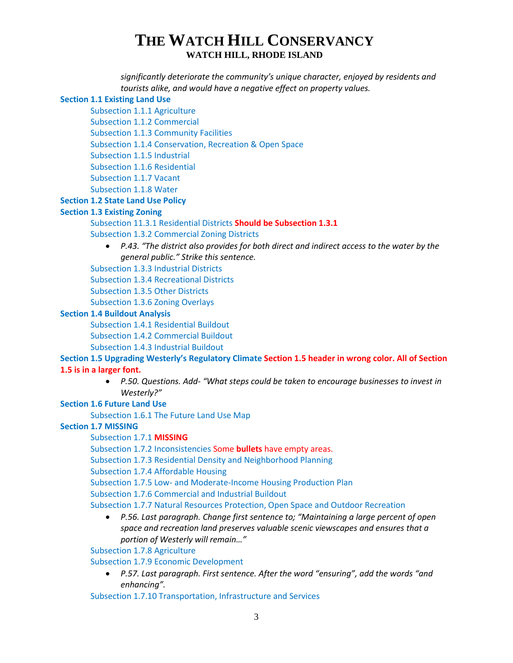*significantly deteriorate the community's unique character, enjoyed by residents and tourists alike, and would have a negative effect on property values.*

#### **Section 1.1 Existing Land Use**

Subsection 1.1.1 Agriculture Subsection 1.1.2 Commercial Subsection 1.1.3 Community Facilities Subsection 1.1.4 Conservation, Recreation & Open Space Subsection 1.1.5 Industrial Subsection 1.1.6 Residential Subsection 1.1.7 Vacant Subsection 1.1.8 Water

#### **Section 1.2 State Land Use Policy**

#### **Section 1.3 Existing Zoning**

Subsection 11.3.1 Residential Districts **Should be Subsection 1.3.1** Subsection 1.3.2 Commercial Zoning Districts

• *P.43. "The district also provides for both direct and indirect access to the water by the general public." Strike this sentence.*

Subsection 1.3.3 Industrial Districts Subsection 1.3.4 Recreational Districts Subsection 1.3.5 Other Districts Subsection 1.3.6 Zoning Overlays

#### **Section 1.4 Buildout Analysis**

Subsection 1.4.1 Residential Buildout

Subsection 1.4.2 Commercial Buildout

Subsection 1.4.3 Industrial Buildout

**Section 1.5 Upgrading Westerly's Regulatory Climate Section 1.5 header in wrong color. All of Section 1.5 is in a larger font.** 

> • *P.50. Questions. Add- "What steps could be taken to encourage businesses to invest in Westerly?"*

#### **Section 1.6 Future Land Use**

Subsection 1.6.1 The Future Land Use Map

#### **Section 1.7 MISSING**

Subsection 1.7.1 **MISSING**

Subsection 1.7.2 Inconsistencies Some **bullets** have empty areas.

Subsection 1.7.3 Residential Density and Neighborhood Planning

Subsection 1.7.4 Affordable Housing

Subsection 1.7.5 Low- and Moderate-Income Housing Production Plan

Subsection 1.7.6 Commercial and Industrial Buildout

Subsection 1.7.7 Natural Resources Protection, Open Space and Outdoor Recreation

• *P.56. Last paragraph. Change first sentence to; "Maintaining a large percent of open space and recreation land preserves valuable scenic viewscapes and ensures that a portion of Westerly will remain…"*

Subsection 1.7.8 Agriculture

Subsection 1.7.9 Economic Development

• *P.57. Last paragraph. First sentence. After the word "ensuring", add the words "and enhancing".* 

Subsection 1.7.10 Transportation, Infrastructure and Services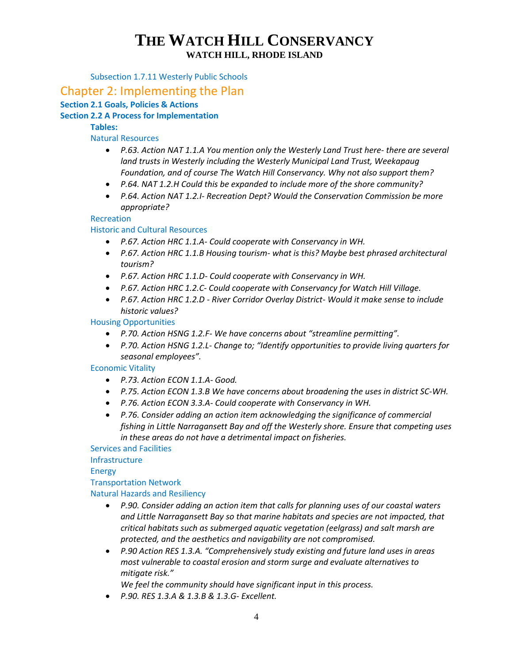Subsection 1.7.11 Westerly Public Schools

### Chapter 2: Implementing the Plan

#### **Section 2.1 Goals, Policies & Actions**

#### **Section 2.2 A Process for Implementation**

#### **Tables:**

#### Natural Resources

- *P.63. Action NAT 1.1.A You mention only the Westerly Land Trust here- there are several land trusts in Westerly including the Westerly Municipal Land Trust, Weekapaug Foundation, and of course The Watch Hill Conservancy. Why not also support them?*
- *P.64. NAT 1.2.H Could this be expanded to include more of the shore community?*
- *P.64. Action NAT 1.2.I- Recreation Dept? Would the Conservation Commission be more appropriate?*

#### Recreation

#### Historic and Cultural Resources

- *P.67. Action HRC 1.1.A- Could cooperate with Conservancy in WH.*
- *P.67. Action HRC 1.1.B Housing tourism- what is this? Maybe best phrased architectural tourism?*
- *P.67. Action HRC 1.1.D- Could cooperate with Conservancy in WH.*
- *P.67. Action HRC 1.2.C- Could cooperate with Conservancy for Watch Hill Village.*
- *P.67. Action HRC 1.2.D - River Corridor Overlay District- Would it make sense to include historic values?*

#### Housing Opportunities

- *P.70. Action HSNG 1.2.F- We have concerns about "streamline permitting".*
- *P.70. Action HSNG 1.2.L- Change to; "Identify opportunities to provide living quarters for seasonal employees".*

#### Economic Vitality

- *P.73. Action ECON 1.1.A- Good.*
- *P.75. Action ECON 1.3.B We have concerns about broadening the uses in district SC-WH.*
- *P.76. Action ECON 3.3.A- Could cooperate with Conservancy in WH.*
- *P.76. Consider adding an action item acknowledging the significance of commercial fishing in Little Narragansett Bay and off the Westerly shore. Ensure that competing uses in these areas do not have a detrimental impact on fisheries.*

#### Services and Facilities

Infrastructure

Energy

#### Transportation Network

Natural Hazards and Resiliency

- *P.90. Consider adding an action item that calls for planning uses of our coastal waters and Little Narragansett Bay so that marine habitats and species are not impacted, that critical habitats such as submerged aquatic vegetation (eelgrass) and salt marsh are protected, and the aesthetics and navigability are not compromised.*
- *P.90 Action RES 1.3.A. "Comprehensively study existing and future land uses in areas most vulnerable to coastal erosion and storm surge and evaluate alternatives to mitigate risk."*

*We feel the community should have significant input in this process.* 

• *P.90. RES 1.3.A & 1.3.B & 1.3.G- Excellent.*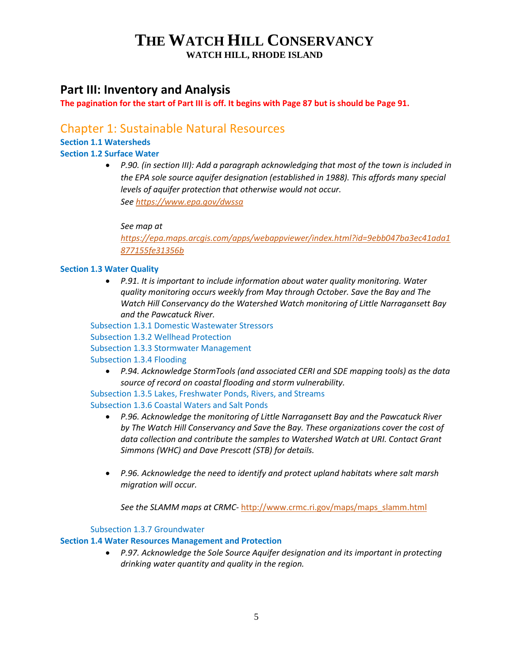### **Part III: Inventory and Analysis**

**The pagination for the start of Part III is off. It begins with Page 87 but is should be Page 91.**

### Chapter 1: Sustainable Natural Resources

**Section 1.1 Watersheds Section 1.2 Surface Water**

# • *P.90. (in section III): Add a paragraph acknowledging that most of the town is included in*

*the EPA sole source aquifer designation (established in 1988). This affords many special levels of aquifer protection that otherwise would not occur. See<https://www.epa.gov/dwssa>*

#### *See map at*

*[https://epa.maps.arcgis.com/apps/webappviewer/index.html?id=9ebb047ba3ec41ada1](https://epa.maps.arcgis.com/apps/webappviewer/index.html?id=9ebb047ba3ec41ada1877155fe31356b) [877155fe31356b](https://epa.maps.arcgis.com/apps/webappviewer/index.html?id=9ebb047ba3ec41ada1877155fe31356b)*

#### **Section 1.3 Water Quality**

• *P.91. It is important to include information about water quality monitoring. Water quality monitoring occurs weekly from May through October. Save the Bay and The Watch Hill Conservancy do the Watershed Watch monitoring of Little Narragansett Bay and the Pawcatuck River.*

Subsection 1.3.1 Domestic Wastewater Stressors Subsection 1.3.2 Wellhead Protection Subsection 1.3.3 Stormwater Management Subsection 1.3.4 Flooding

• *P.94. Acknowledge StormTools (and associated CERI and SDE mapping tools) as the data source of record on coastal flooding and storm vulnerability.*

Subsection 1.3.5 Lakes, Freshwater Ponds, Rivers, and Streams Subsection 1.3.6 Coastal Waters and Salt Ponds

- *P.96. Acknowledge the monitoring of Little Narragansett Bay and the Pawcatuck River by The Watch Hill Conservancy and Save the Bay. These organizations cover the cost of data collection and contribute the samples to Watershed Watch at URI. Contact Grant Simmons (WHC) and Dave Prescott (STB) for details.*
- *P.96. Acknowledge the need to identify and protect upland habitats where salt marsh migration will occur.*

See the SLAMM maps at CRMC- [http://www.crmc.ri.gov/maps/maps\\_slamm.html](http://www.crmc.ri.gov/maps/maps_slamm.html)

#### Subsection 1.3.7 Groundwater

#### **Section 1.4 Water Resources Management and Protection**

• *P.97. Acknowledge the Sole Source Aquifer designation and its important in protecting drinking water quantity and quality in the region.*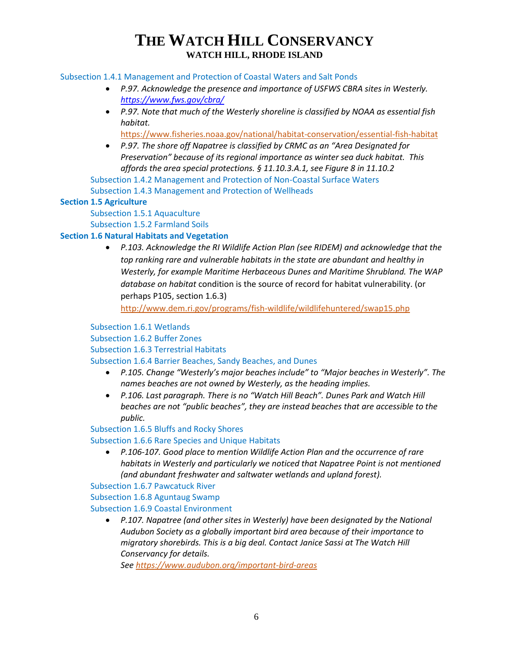#### Subsection 1.4.1 Management and Protection of Coastal Waters and Salt Ponds

- *P.97. Acknowledge the presence and importance of USFWS CBRA sites in Westerly. <https://www.fws.gov/cbra/>*
- *P.97. Note that much of the Westerly shoreline is classified by NOAA as essential fish habitat.*

<https://www.fisheries.noaa.gov/national/habitat-conservation/essential-fish-habitat>

• *P.97. The shore off Napatree is classified by CRMC as an "Area Designated for Preservation" because of its regional importance as winter sea duck habitat. This affords the area special protections. § 11.10.3.A.1, see Figure 8 in 11.10.2*

Subsection 1.4.2 Management and Protection of Non-Coastal Surface Waters Subsection 1.4.3 Management and Protection of Wellheads

#### **Section 1.5 Agriculture**

Subsection 1.5.1 Aquaculture Subsection 1.5.2 Farmland Soils

#### **Section 1.6 Natural Habitats and Vegetation**

• *P.103. Acknowledge the RI Wildlife Action Plan (see RIDEM) and acknowledge that the top ranking rare and vulnerable habitats in the state are abundant and healthy in Westerly, for example Maritime Herbaceous Dunes and Maritime Shrubland. The WAP database on habitat* condition is the source of record for habitat vulnerability. (or perhaps P105, section 1.6.3)

<http://www.dem.ri.gov/programs/fish-wildlife/wildlifehuntered/swap15.php>

#### Subsection 1.6.1 Wetlands

Subsection 1.6.2 Buffer Zones

Subsection 1.6.3 Terrestrial Habitats

Subsection 1.6.4 Barrier Beaches, Sandy Beaches, and Dunes

- *P.105. Change "Westerly's major beaches include" to "Major beaches in Westerly". The names beaches are not owned by Westerly, as the heading implies.*
- *P.106. Last paragraph. There is no "Watch Hill Beach". Dunes Park and Watch Hill beaches are not "public beaches", they are instead beaches that are accessible to the public.*

#### Subsection 1.6.5 Bluffs and Rocky Shores

Subsection 1.6.6 Rare Species and Unique Habitats

• *P.106-107. Good place to mention Wildlife Action Plan and the occurrence of rare habitats in Westerly and particularly we noticed that Napatree Point is not mentioned (and abundant freshwater and saltwater wetlands and upland forest).*

Subsection 1.6.7 Pawcatuck River

Subsection 1.6.8 Aguntaug Swamp

Subsection 1.6.9 Coastal Environment

• *P.107. Napatree (and other sites in Westerly) have been designated by the National Audubon Society as a globally important bird area because of their importance to migratory shorebirds. This is a big deal. Contact Janice Sassi at The Watch Hill Conservancy for details.*

*See<https://www.audubon.org/important-bird-areas>*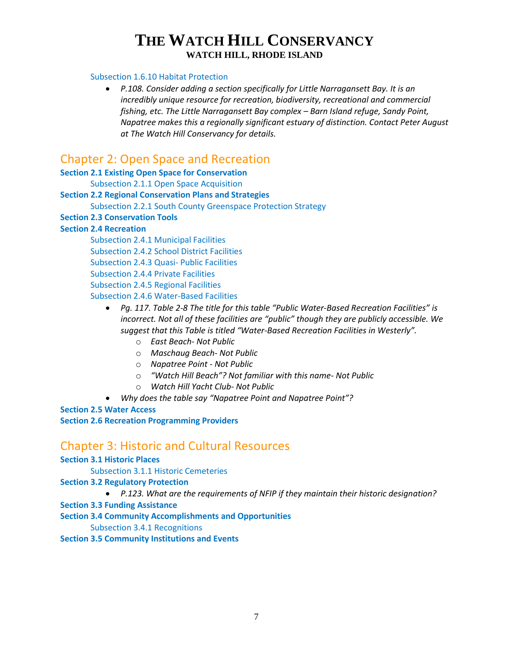#### Subsection 1.6.10 Habitat Protection

• *P.108. Consider adding a section specifically for Little Narragansett Bay. It is an incredibly unique resource for recreation, biodiversity, recreational and commercial fishing, etc. The Little Narragansett Bay complex – Barn Island refuge, Sandy Point, Napatree makes this a regionally significant estuary of distinction. Contact Peter August at The Watch Hill Conservancy for details.*

## Chapter 2: Open Space and Recreation

**Section 2.1 Existing Open Space for Conservation**

Subsection 2.1.1 Open Space Acquisition

#### **Section 2.2 Regional Conservation Plans and Strategies**

- Subsection 2.2.1 South County Greenspace Protection Strategy
- **Section 2.3 Conservation Tools**

#### **Section 2.4 Recreation**

Subsection 2.4.1 Municipal Facilities Subsection 2.4.2 School District Facilities Subsection 2.4.3 Quasi- Public Facilities Subsection 2.4.4 Private Facilities Subsection 2.4.5 Regional Facilities Subsection 2.4.6 Water-Based Facilities

• *Pg. 117. Table 2-8 The title for this table "Public Water-Based Recreation Facilities" is incorrect. Not all of these facilities are "public" though they are publicly accessible. We suggest that this Table is titled "Water-Based Recreation Facilities in Westerly".*

- o *East Beach- Not Public*
- o *Maschaug Beach- Not Public*
- o *Napatree Point - Not Public*
- o *"Watch Hill Beach"? Not familiar with this name- Not Public*
- o *Watch Hill Yacht Club- Not Public*
- *Why does the table say "Napatree Point and Napatree Point"?*

#### **Section 2.5 Water Access**

**Section 2.6 Recreation Programming Providers**

### Chapter 3: Historic and Cultural Resources

**Section 3.1 Historic Places**

Subsection 3.1.1 Historic Cemeteries

**Section 3.2 Regulatory Protection**

• *P.123. What are the requirements of NFIP if they maintain their historic designation?*

- **Section 3.3 Funding Assistance**
- **Section 3.4 Community Accomplishments and Opportunities**
	- Subsection 3.4.1 Recognitions
- **Section 3.5 Community Institutions and Events**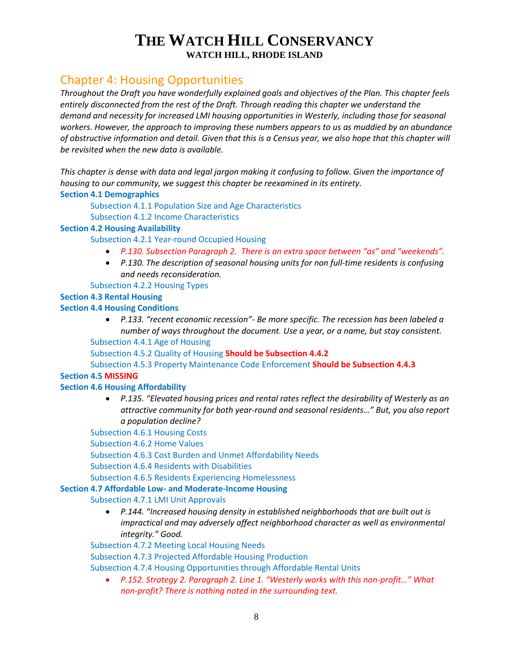## Chapter 4: Housing Opportunities

*Throughout the Draft you have wonderfully explained goals and objectives of the Plan. This chapter feels entirely disconnected from the rest of the Draft. Through reading this chapter we understand the demand and necessity for increased LMI housing opportunities in Westerly, including those for seasonal workers. However, the approach to improving these numbers appears to us as muddied by an abundance of obstructive information and detail. Given that this is a Census year, we also hope that this chapter will be revisited when the new data is available.*

*This chapter is dense with data and legal jargon making it confusing to follow. Given the importance of housing to our community, we suggest this chapter be reexamined in its entirety.* 

#### **Section 4.1 Demographics**

Subsection 4.1.1 Population Size and Age Characteristics Subsection 4.1.2 Income Characteristics

#### **Section 4.2 Housing Availability**

#### Subsection 4.2.1 Year-round Occupied Housing

- *P.130. Subsection Paragraph 2. There is an extra space between "as" and "weekends".*
- *P.130. The description of seasonal housing units for non full-time residents is confusing and needs reconsideration.*

Subsection 4.2.2 Housing Types

#### **Section 4.3 Rental Housing**

#### **Section 4.4 Housing Conditions**

• *P.133. "recent economic recession"- Be more specific. The recession has been labeled a number of ways throughout the document. Use a year, or a name, but stay consistent.* 

Subsection 4.4.1 Age of Housing

Subsection 4.5.2 Quality of Housing **Should be Subsection 4.4.2**

Subsection 4.5.3 Property Maintenance Code Enforcement **Should be Subsection 4.4.3**

#### **Section 4.5 MISSING**

#### **Section 4.6 Housing Affordability**

• *P.135. "Elevated housing prices and rental rates reflect the desirability of Westerly as an attractive community for both year-round and seasonal residents…" But, you also report a population decline?* 

Subsection 4.6.1 Housing Costs

Subsection 4.6.2 Home Values

Subsection 4.6.3 Cost Burden and Unmet Affordability Needs

Subsection 4.6.4 Residents with Disabilities

Subsection 4.6.5 Residents Experiencing Homelessness

#### **Section 4.7 Affordable Low- and Moderate-Income Housing**

Subsection 4.7.1 LMI Unit Approvals

• *P.144. "Increased housing density in established neighborhoods that are built out is impractical and may adversely affect neighborhood character as well as environmental integrity." Good.* 

Subsection 4.7.2 Meeting Local Housing Needs

Subsection 4.7.3 Projected Affordable Housing Production

Subsection 4.7.4 Housing Opportunities through Affordable Rental Units

• *P.152. Strategy 2. Paragraph 2. Line 1. "Westerly works with this non-profit…" What non-profit? There is nothing noted in the surrounding text.*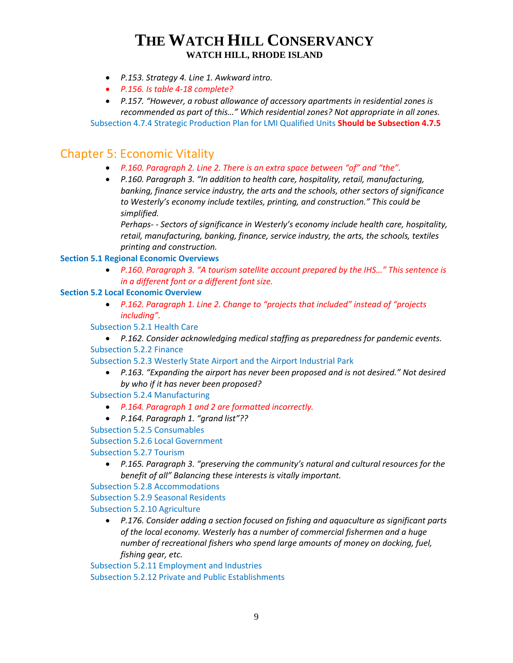- *P.153. Strategy 4. Line 1. Awkward intro.*
- *P.156. Is table 4-18 complete?*
- *P.157. "However, a robust allowance of accessory apartments in residential zones is recommended as part of this…" Which residential zones? Not appropriate in all zones.*

Subsection 4.7.4 Strategic Production Plan for LMI Qualified Units **Should be Subsection 4.7.5**

### Chapter 5: Economic Vitality

- *P.160. Paragraph 2. Line 2. There is an extra space between "of" and "the".*
- *P.160. Paragraph 3. "In addition to health care, hospitality, retail, manufacturing, banking, finance service industry, the arts and the schools, other sectors of significance to Westerly's economy include textiles, printing, and construction." This could be simplified.*

*Perhaps- - Sectors of significance in Westerly's economy include health care, hospitality, retail, manufacturing, banking, finance, service industry, the arts, the schools, textiles printing and construction.* 

#### **Section 5.1 Regional Economic Overviews**

• *P.160. Paragraph 3. "A tourism satellite account prepared by the IHS…" This sentence is in a different font or a different font size.*

#### **Section 5.2 Local Economic Overview**

• *P.162. Paragraph 1. Line 2. Change to "projects that included" instead of "projects including".* 

Subsection 5.2.1 Health Care

• *P.162. Consider acknowledging medical staffing as preparedness for pandemic events.* Subsection 5.2.2 Finance

Subsection 5.2.3 Westerly State Airport and the Airport Industrial Park

• *P.163. "Expanding the airport has never been proposed and is not desired." Not desired by who if it has never been proposed?*

Subsection 5.2.4 Manufacturing

- *P.164. Paragraph 1 and 2 are formatted incorrectly.*
- *P.164. Paragraph 1. "grand list"??*

Subsection 5.2.5 Consumables

Subsection 5.2.6 Local Government

Subsection 5.2.7 Tourism

• *P.165. Paragraph 3. "preserving the community's natural and cultural resources for the benefit of all" Balancing these interests is vitally important.*

Subsection 5.2.8 Accommodations Subsection 5.2.9 Seasonal Residents Subsection 5.2.10 Agriculture

> • *P.176. Consider adding a section focused on fishing and aquaculture as significant parts of the local economy. Westerly has a number of commercial fishermen and a huge number of recreational fishers who spend large amounts of money on docking, fuel, fishing gear, etc.*

Subsection 5.2.11 Employment and Industries Subsection 5.2.12 Private and Public Establishments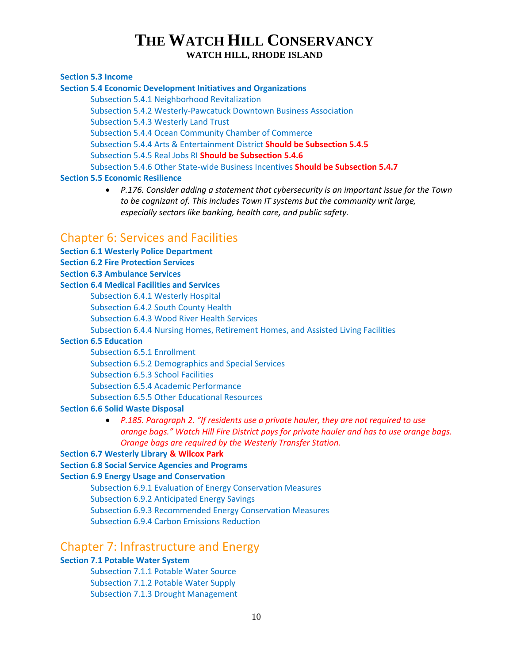#### **Section 5.3 Income**

#### **Section 5.4 Economic Development Initiatives and Organizations**

Subsection 5.4.1 Neighborhood Revitalization Subsection 5.4.2 Westerly-Pawcatuck Downtown Business Association Subsection 5.4.3 Westerly Land Trust Subsection 5.4.4 Ocean Community Chamber of Commerce Subsection 5.4.4 Arts & Entertainment District **Should be Subsection 5.4.5** Subsection 5.4.5 Real Jobs RI **Should be Subsection 5.4.6** Subsection 5.4.6 Other State-wide Business Incentives **Should be Subsection 5.4.7**

#### **Section 5.5 Economic Resilience**

• *P.176. Consider adding a statement that cybersecurity is an important issue for the Town to be cognizant of. This includes Town IT systems but the community writ large, especially sectors like banking, health care, and public safety.*

### Chapter 6: Services and Facilities

- **Section 6.1 Westerly Police Department**
- **Section 6.2 Fire Protection Services**
- **Section 6.3 Ambulance Services**

#### **Section 6.4 Medical Facilities and Services**

Subsection 6.4.1 Westerly Hospital

Subsection 6.4.2 South County Health

Subsection 6.4.3 Wood River Health Services

Subsection 6.4.4 Nursing Homes, Retirement Homes, and Assisted Living Facilities

#### **Section 6.5 Education**

Subsection 6.5.1 Enrollment

Subsection 6.5.2 Demographics and Special Services

- Subsection 6.5.3 School Facilities
- Subsection 6.5.4 Academic Performance

Subsection 6.5.5 Other Educational Resources

#### **Section 6.6 Solid Waste Disposal**

• *P.185. Paragraph 2. "If residents use a private hauler, they are not required to use orange bags." Watch Hill Fire District pays for private hauler and has to use orange bags. Orange bags are required by the Westerly Transfer Station.*

#### **Section 6.7 Westerly Library & Wilcox Park**

#### **Section 6.8 Social Service Agencies and Programs**

#### **Section 6.9 Energy Usage and Conservation**

Subsection 6.9.1 Evaluation of Energy Conservation Measures

Subsection 6.9.2 Anticipated Energy Savings

Subsection 6.9.3 Recommended Energy Conservation Measures

Subsection 6.9.4 Carbon Emissions Reduction

### Chapter 7: Infrastructure and Energy

#### **Section 7.1 Potable Water System**

Subsection 7.1.1 Potable Water Source Subsection 7.1.2 Potable Water Supply Subsection 7.1.3 Drought Management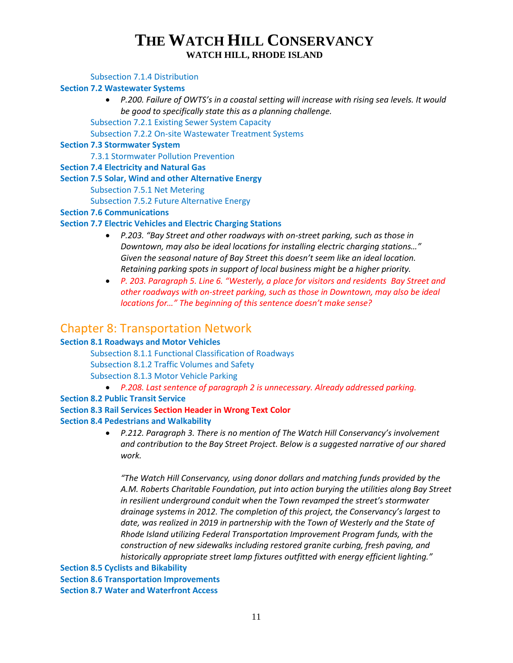#### Subsection 7.1.4 Distribution

#### **Section 7.2 Wastewater Systems**

• *P.200. Failure of OWTS's in a coastal setting will increase with rising sea levels. It would be good to specifically state this as a planning challenge.*

Subsection 7.2.1 Existing Sewer System Capacity

Subsection 7.2.2 On-site Wastewater Treatment Systems

#### **Section 7.3 Stormwater System**

7.3.1 Stormwater Pollution Prevention

**Section 7.4 Electricity and Natural Gas**

#### **Section 7.5 Solar, Wind and other Alternative Energy**

Subsection 7.5.1 Net Metering

Subsection 7.5.2 Future Alternative Energy

#### **Section 7.6 Communications**

#### **Section 7.7 Electric Vehicles and Electric Charging Stations**

- *P.203. "Bay Street and other roadways with on-street parking, such as those in Downtown, may also be ideal locations for installing electric charging stations…" Given the seasonal nature of Bay Street this doesn't seem like an ideal location. Retaining parking spots in support of local business might be a higher priority.*
- *P. 203. Paragraph 5. Line 6. "Westerly, a place for visitors and residents Bay Street and other roadways with on-street parking, such as those in Downtown, may also be ideal locations for…" The beginning of this sentence doesn't make sense?*

### Chapter 8: Transportation Network

#### **Section 8.1 Roadways and Motor Vehicles**

Subsection 8.1.1 Functional Classification of Roadways Subsection 8.1.2 Traffic Volumes and Safety Subsection 8.1.3 Motor Vehicle Parking

• *P.208. Last sentence of paragraph 2 is unnecessary. Already addressed parking.*

#### **Section 8.2 Public Transit Service**

#### **Section 8.3 Rail Services Section Header in Wrong Text Color**

#### **Section 8.4 Pedestrians and Walkability**

• *P.212. Paragraph 3. There is no mention of The Watch Hill Conservancy's involvement and contribution to the Bay Street Project. Below is a suggested narrative of our shared work.*

*"The Watch Hill Conservancy, using donor dollars and matching funds provided by the A.M. Roberts Charitable Foundation, put into action burying the utilities along Bay Street in resilient underground conduit when the Town revamped the street's stormwater drainage systems in 2012. The completion of this project, the Conservancy's largest to date, was realized in 2019 in partnership with the Town of Westerly and the State of Rhode Island utilizing Federal Transportation Improvement Program funds, with the construction of new sidewalks including restored granite curbing, fresh paving, and historically appropriate street lamp fixtures outfitted with energy efficient lighting."*

**Section 8.5 Cyclists and Bikability**

**Section 8.6 Transportation Improvements Section 8.7 Water and Waterfront Access**